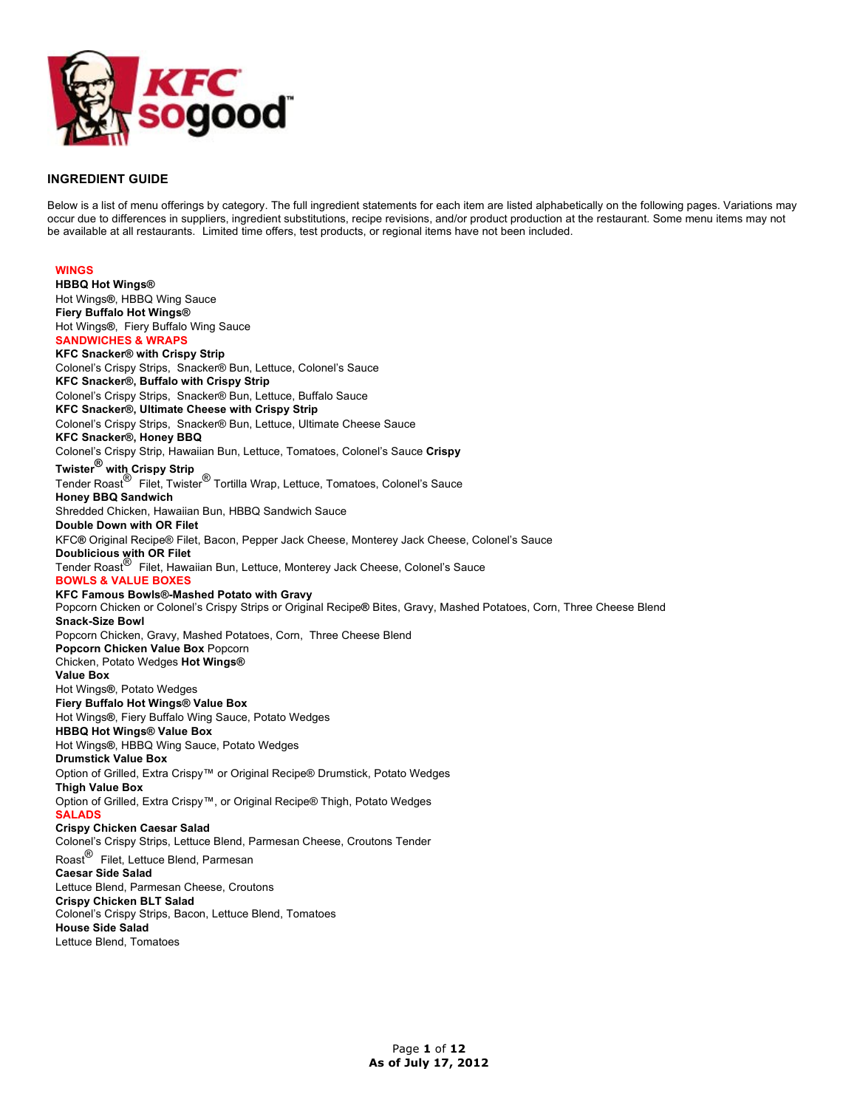

### **INGREDIENT GUIDE**

Below is a list of menu offerings by category. The full ingredient statements for each item are listed alphabetically on the following pages. Variations may occur due to differences in suppliers, ingredient substitutions, recipe revisions, and/or product production at the restaurant. Some menu items may not be available at all restaurants. Limited time offers, test products, or regional items have not been included.

**WINGS HBBQ Hot Wings®** Hot Wings**®**, HBBQ Wing Sauce **Fiery Buffalo Hot Wings®** Hot Wings**®**, Fiery Buffalo Wing Sauce **SANDWICHES & WRAPS KFC Snacker® with Crispy Strip** Colonel's Crispy Strips, Snacker® Bun, Lettuce, Colonel's Sauce **KFC Snacker®, Buffalo with Crispy Strip** Colonel's Crispy Strips, Snacker® Bun, Lettuce, Buffalo Sauce **KFC Snacker®, Ultimate Cheese with Crispy Strip** Colonel's Crispy Strips, Snacker® Bun, Lettuce, Ultimate Cheese Sauce **KFC Snacker®, Honey BBQ** Colonel's Crispy Strip, Hawaiian Bun, Lettuce, Tomatoes, Colonel's Sauce **Crispy Twister ® with Crispy Strip** Thress Thing The Terry Timp of Tortilla Wrap, Lettuce, Tomatoes, Colonel's Sauce **Honey BBQ Sandwich** Shredded Chicken, Hawaiian Bun, HBBQ Sandwich Sauce **Double Down with OR Filet** KFC**®** Original Recipe® Filet, Bacon, Pepper Jack Cheese, Monterey Jack Cheese, Colonel's Sauce **Doublicious with OR Filet** Tender Roast® Filet, Hawaiian Bun, Lettuce, Monterey Jack Cheese, Colonel's Sauce **BOWLS & VALUE BOXES KFC Famous Bowls®-Mashed Potato with Gravy** Popcorn Chicken or Colonel's Crispy Strips or Original Recipe**®** Bites, Gravy, Mashed Potatoes, Corn, Three Cheese Blend **Snack-Size Bowl** Popcorn Chicken, Gravy, Mashed Potatoes, Corn, Three Cheese Blend **Popcorn Chicken Value Box** Popcorn Chicken, Potato Wedges **Hot Wings® Value Box** Hot Wings**®**, Potato Wedges **Fiery Buffalo Hot Wings® Value Box** Hot Wings**®**, Fiery Buffalo Wing Sauce, Potato Wedges **HBBQ Hot Wings® Value Box** Hot Wings**®**, HBBQ Wing Sauce, Potato Wedges **Drumstick Value Box** Option of Grilled, Extra Crispy™ or Original Recipe® Drumstick, Potato Wedges **Thigh Value Box** Option of Grilled, Extra Crispy™, or Original Recipe® Thigh, Potato Wedges **SALADS Crispy Chicken Caesar Salad** Colonel's Crispy Strips, Lettuce Blend, Parmesan Cheese, Croutons Tender Roast<sup>®</sup> Filet, Lettuce Blend, Parmesan **Caesar Side Salad** Lettuce Blend, Parmesan Cheese, Croutons **Crispy Chicken BLT Salad** Colonel's Crispy Strips, Bacon, Lettuce Blend, Tomatoes **House Side Salad** Lettuce Blend, Tomatoes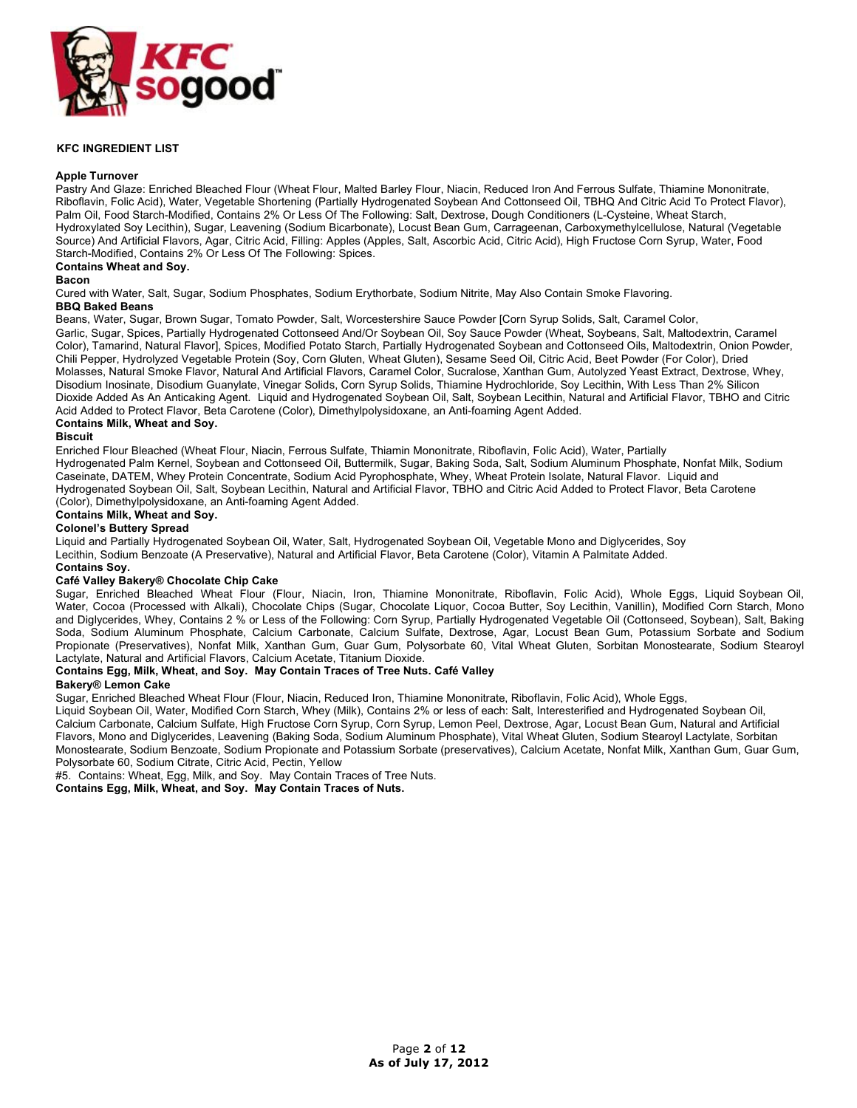

### **KFC INGREDIENT LIST**

#### **Apple Turnover**

Pastry And Glaze: Enriched Bleached Flour (Wheat Flour, Malted Barley Flour, Niacin, Reduced Iron And Ferrous Sulfate, Thiamine Mononitrate, Riboflavin, Folic Acid), Water, Vegetable Shortening (Partially Hydrogenated Soybean And Cottonseed Oil, TBHQ And Citric Acid To Protect Flavor), Palm Oil, Food Starch-Modified, Contains 2% Or Less Of The Following: Salt, Dextrose, Dough Conditioners (L-Cysteine, Wheat Starch, Hydroxylated Soy Lecithin), Sugar, Leavening (Sodium Bicarbonate), Locust Bean Gum, Carrageenan, Carboxymethylcellulose, Natural (Vegetable Source) And Artificial Flavors, Agar, Citric Acid, Filling: Apples (Apples, Salt, Ascorbic Acid, Citric Acid), High Fructose Corn Syrup, Water, Food Starch-Modified, Contains 2% Or Less Of The Following: Spices.

### **Contains Wheat and Soy.**

### **Bacon**

Cured with Water, Salt, Sugar, Sodium Phosphates, Sodium Erythorbate, Sodium Nitrite, May Also Contain Smoke Flavoring.

# **BBQ Baked Beans**

Beans, Water, Sugar, Brown Sugar, Tomato Powder, Salt, Worcestershire Sauce Powder [Corn Syrup Solids, Salt, Caramel Color, Garlic, Sugar, Spices, Partially Hydrogenated Cottonseed And/Or Soybean Oil, Soy Sauce Powder (Wheat, Soybeans, Salt, Maltodextrin, Caramel Color), Tamarind, Natural Flavor], Spices, Modified Potato Starch, Partially Hydrogenated Soybean and Cottonseed Oils, Maltodextrin, Onion Powder, Chili Pepper, Hydrolyzed Vegetable Protein (Soy, Corn Gluten, Wheat Gluten), Sesame Seed Oil, Citric Acid, Beet Powder (For Color), Dried Molasses, Natural Smoke Flavor, Natural And Artificial Flavors, Caramel Color, Sucralose, Xanthan Gum, Autolyzed Yeast Extract, Dextrose, Whey, Disodium Inosinate, Disodium Guanylate, Vinegar Solids, Corn Syrup Solids, Thiamine Hydrochloride, Soy Lecithin, With Less Than 2% Silicon Dioxide Added As An Anticaking Agent. Liquid and Hydrogenated Soybean Oil, Salt, Soybean Lecithin, Natural and Artificial Flavor, TBHO and Citric

Acid Added to Protect Flavor, Beta Carotene (Color), Dimethylpolysidoxane, an Anti-foaming Agent Added.

### **Contains Milk, Wheat and Soy.**

### **Biscuit**

Enriched Flour Bleached (Wheat Flour, Niacin, Ferrous Sulfate, Thiamin Mononitrate, Riboflavin, Folic Acid), Water, Partially Hydrogenated Palm Kernel, Soybean and Cottonseed Oil, Buttermilk, Sugar, Baking Soda, Salt, Sodium Aluminum Phosphate, Nonfat Milk, Sodium Caseinate, DATEM, Whey Protein Concentrate, Sodium Acid Pyrophosphate, Whey, Wheat Protein Isolate, Natural Flavor. Liquid and Hydrogenated Soybean Oil, Salt, Soybean Lecithin, Natural and Artificial Flavor, TBHO and Citric Acid Added to Protect Flavor, Beta Carotene (Color), Dimethylpolysidoxane, an Anti-foaming Agent Added.

**Contains Milk, Wheat and Soy. Colonel's Buttery Spread**

Liquid and Partially Hydrogenated Soybean Oil, Water, Salt, Hydrogenated Soybean Oil, Vegetable Mono and Diglycerides, Soy Lecithin, Sodium Benzoate (A Preservative), Natural and Artificial Flavor, Beta Carotene (Color), Vitamin A Palmitate Added.

### **Contains Soy.**

### **Café Valley Bakery® Chocolate Chip Cake**

Sugar, Enriched Bleached Wheat Flour (Flour, Niacin, Iron, Thiamine Mononitrate, Riboflavin, Folic Acid), Whole Eggs, Liquid Soybean Oil, Water, Cocoa (Processed with Alkali), Chocolate Chips (Sugar, Chocolate Liquor, Cocoa Butter, Soy Lecithin, Vanillin), Modified Corn Starch, Mono and Diglycerides, Whey, Contains 2 % or Less of the Following: Corn Syrup, Partially Hydrogenated Vegetable Oil (Cottonseed, Soybean), Salt, Baking Soda, Sodium Aluminum Phosphate, Calcium Carbonate, Calcium Sulfate, Dextrose, Agar, Locust Bean Gum, Potassium Sorbate and Sodium Propionate (Preservatives), Nonfat Milk, Xanthan Gum, Guar Gum, Polysorbate 60, Vital Wheat Gluten, Sorbitan Monostearate, Sodium Stearoyl Lactylate, Natural and Artificial Flavors, Calcium Acetate, Titanium Dioxide.

#### **Contains Egg, Milk, Wheat, and Soy. May Contain Traces of Tree Nuts. Café Valley Bakery® Lemon Cake**

Sugar, Enriched Bleached Wheat Flour (Flour, Niacin, Reduced Iron, Thiamine Mononitrate, Riboflavin, Folic Acid), Whole Eggs,

Liquid Soybean Oil, Water, Modified Corn Starch, Whey (Milk), Contains 2% or less of each: Salt, Interesterified and Hydrogenated Soybean Oil, Calcium Carbonate, Calcium Sulfate, High Fructose Corn Syrup, Corn Syrup, Lemon Peel, Dextrose, Agar, Locust Bean Gum, Natural and Artificial Flavors, Mono and Diglycerides, Leavening (Baking Soda, Sodium Aluminum Phosphate), Vital Wheat Gluten, Sodium Stearoyl Lactylate, Sorbitan Monostearate, Sodium Benzoate, Sodium Propionate and Potassium Sorbate (preservatives), Calcium Acetate, Nonfat Milk, Xanthan Gum, Guar Gum, Polysorbate 60, Sodium Citrate, Citric Acid, Pectin, Yellow

#5. Contains: Wheat, Egg, Milk, and Soy. May Contain Traces of Tree Nuts.

**Contains Egg, Milk, Wheat, and Soy. May Contain Traces of Nuts.**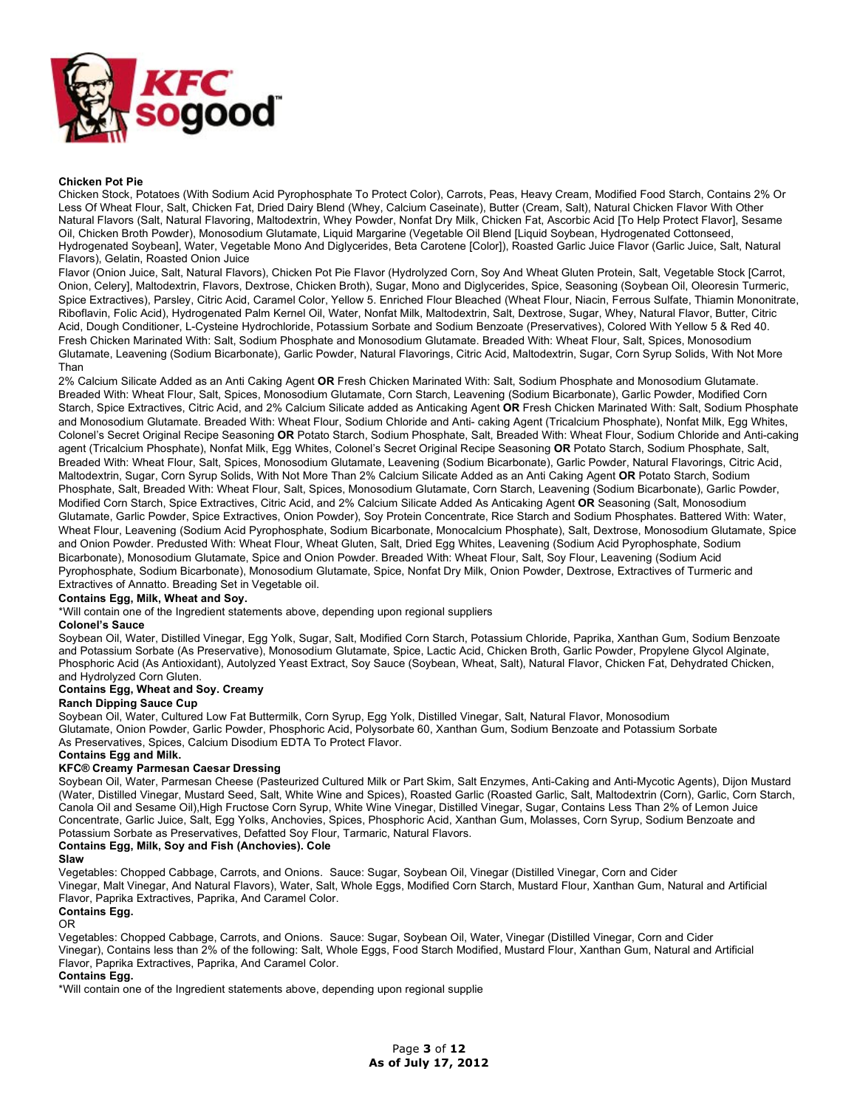

#### **Chicken Pot Pie**

Chicken Stock, Potatoes (With Sodium Acid Pyrophosphate To Protect Color), Carrots, Peas, Heavy Cream, Modified Food Starch, Contains 2% Or Less Of Wheat Flour, Salt, Chicken Fat, Dried Dairy Blend (Whey, Calcium Caseinate), Butter (Cream, Salt), Natural Chicken Flavor With Other Natural Flavors (Salt, Natural Flavoring, Maltodextrin, Whey Powder, Nonfat Dry Milk, Chicken Fat, Ascorbic Acid [To Help Protect Flavor], Sesame Oil, Chicken Broth Powder), Monosodium Glutamate, Liquid Margarine (Vegetable Oil Blend [Liquid Soybean, Hydrogenated Cottonseed, Hydrogenated Soybean], Water, Vegetable Mono And Diglycerides, Beta Carotene [Color]), Roasted Garlic Juice Flavor (Garlic Juice, Salt, Natural Flavors), Gelatin, Roasted Onion Juice

Flavor (Onion Juice, Salt, Natural Flavors), Chicken Pot Pie Flavor (Hydrolyzed Corn, Soy And Wheat Gluten Protein, Salt, Vegetable Stock [Carrot, Onion, Celery], Maltodextrin, Flavors, Dextrose, Chicken Broth), Sugar, Mono and Diglycerides, Spice, Seasoning (Soybean Oil, Oleoresin Turmeric, Spice Extractives), Parsley, Citric Acid, Caramel Color, Yellow 5. Enriched Flour Bleached (Wheat Flour, Niacin, Ferrous Sulfate, Thiamin Mononitrate, Riboflavin, Folic Acid), Hydrogenated Palm Kernel Oil, Water, Nonfat Milk, Maltodextrin, Salt, Dextrose, Sugar, Whey, Natural Flavor, Butter, Citric Acid, Dough Conditioner, L-Cysteine Hydrochloride, Potassium Sorbate and Sodium Benzoate (Preservatives), Colored With Yellow 5 & Red 40. Fresh Chicken Marinated With: Salt, Sodium Phosphate and Monosodium Glutamate. Breaded With: Wheat Flour, Salt, Spices, Monosodium Glutamate, Leavening (Sodium Bicarbonate), Garlic Powder, Natural Flavorings, Citric Acid, Maltodextrin, Sugar, Corn Syrup Solids, With Not More Than

2% Calcium Silicate Added as an Anti Caking Agent **OR** Fresh Chicken Marinated With: Salt, Sodium Phosphate and Monosodium Glutamate. Breaded With: Wheat Flour, Salt, Spices, Monosodium Glutamate, Corn Starch, Leavening (Sodium Bicarbonate), Garlic Powder, Modified Corn Starch, Spice Extractives, Citric Acid, and 2% Calcium Silicate added as Anticaking Agent **OR** Fresh Chicken Marinated With: Salt, Sodium Phosphate and Monosodium Glutamate. Breaded With: Wheat Flour, Sodium Chloride and Anti- caking Agent (Tricalcium Phosphate), Nonfat Milk, Egg Whites, Colonel's Secret Original Recipe Seasoning **OR** Potato Starch, Sodium Phosphate, Salt, Breaded With: Wheat Flour, Sodium Chloride and Anti-caking agent (Tricalcium Phosphate), Nonfat Milk, Egg Whites, Colonel's Secret Original Recipe Seasoning **OR** Potato Starch, Sodium Phosphate, Salt, Breaded With: Wheat Flour, Salt, Spices, Monosodium Glutamate, Leavening (Sodium Bicarbonate), Garlic Powder, Natural Flavorings, Citric Acid, Maltodextrin, Sugar, Corn Syrup Solids, With Not More Than 2% Calcium Silicate Added as an Anti Caking Agent **OR** Potato Starch, Sodium Phosphate, Salt, Breaded With: Wheat Flour, Salt, Spices, Monosodium Glutamate, Corn Starch, Leavening (Sodium Bicarbonate), Garlic Powder, Modified Corn Starch, Spice Extractives, Citric Acid, and 2% Calcium Silicate Added As Anticaking Agent **OR** Seasoning (Salt, Monosodium Glutamate, Garlic Powder, Spice Extractives, Onion Powder), Soy Protein Concentrate, Rice Starch and Sodium Phosphates. Battered With: Water, Wheat Flour, Leavening (Sodium Acid Pyrophosphate, Sodium Bicarbonate, Monocalcium Phosphate), Salt, Dextrose, Monosodium Glutamate, Spice and Onion Powder. Predusted With: Wheat Flour, Wheat Gluten, Salt, Dried Egg Whites, Leavening (Sodium Acid Pyrophosphate, Sodium Bicarbonate), Monosodium Glutamate, Spice and Onion Powder. Breaded With: Wheat Flour, Salt, Soy Flour, Leavening (Sodium Acid Pyrophosphate, Sodium Bicarbonate), Monosodium Glutamate, Spice, Nonfat Dry Milk, Onion Powder, Dextrose, Extractives of Turmeric and Extractives of Annatto. Breading Set in Vegetable oil.

#### **Contains Egg, Milk, Wheat and Soy.**

\*Will contain one of the Ingredient statements above, depending upon regional suppliers

#### **Colonel's Sauce**

Soybean Oil, Water, Distilled Vinegar, Egg Yolk, Sugar, Salt, Modified Corn Starch, Potassium Chloride, Paprika, Xanthan Gum, Sodium Benzoate and Potassium Sorbate (As Preservative), Monosodium Glutamate, Spice, Lactic Acid, Chicken Broth, Garlic Powder, Propylene Glycol Alginate, Phosphoric Acid (As Antioxidant), Autolyzed Yeast Extract, Soy Sauce (Soybean, Wheat, Salt), Natural Flavor, Chicken Fat, Dehydrated Chicken, and Hydrolyzed Corn Gluten.

### **Contains Egg, Wheat and Soy. Creamy**

#### **Ranch Dipping Sauce Cup**

Soybean Oil, Water, Cultured Low Fat Buttermilk, Corn Syrup, Egg Yolk, Distilled Vinegar, Salt, Natural Flavor, Monosodium Glutamate, Onion Powder, Garlic Powder, Phosphoric Acid, Polysorbate 60, Xanthan Gum, Sodium Benzoate and Potassium Sorbate As Preservatives, Spices, Calcium Disodium EDTA To Protect Flavor.

#### **Contains Egg and Milk.**

#### **KFC® Creamy Parmesan Caesar Dressing**

Soybean Oil, Water, Parmesan Cheese (Pasteurized Cultured Milk or Part Skim, Salt Enzymes, Anti-Caking and Anti-Mycotic Agents), Dijon Mustard (Water, Distilled Vinegar, Mustard Seed, Salt, White Wine and Spices), Roasted Garlic (Roasted Garlic, Salt, Maltodextrin (Corn), Garlic, Corn Starch, Canola Oil and Sesame Oil),High Fructose Corn Syrup, White Wine Vinegar, Distilled Vinegar, Sugar, Contains Less Than 2% of Lemon Juice Concentrate, Garlic Juice, Salt, Egg Yolks, Anchovies, Spices, Phosphoric Acid, Xanthan Gum, Molasses, Corn Syrup, Sodium Benzoate and Potassium Sorbate as Preservatives, Defatted Soy Flour, Tarmaric, Natural Flavors.

#### **Contains Egg, Milk, Soy and Fish (Anchovies). Cole**

### **Slaw**

Vegetables: Chopped Cabbage, Carrots, and Onions. Sauce: Sugar, Soybean Oil, Vinegar (Distilled Vinegar, Corn and Cider Vinegar, Malt Vinegar, And Natural Flavors), Water, Salt, Whole Eggs, Modified Corn Starch, Mustard Flour, Xanthan Gum, Natural and Artificial Flavor, Paprika Extractives, Paprika, And Caramel Color.

### **Contains Egg.**

OR

Vegetables: Chopped Cabbage, Carrots, and Onions. Sauce: Sugar, Soybean Oil, Water, Vinegar (Distilled Vinegar, Corn and Cider Vinegar), Contains less than 2% of the following: Salt, Whole Eggs, Food Starch Modified, Mustard Flour, Xanthan Gum, Natural and Artificial Flavor, Paprika Extractives, Paprika, And Caramel Color.

#### **Contains Egg.**

\*Will contain one of the Ingredient statements above, depending upon regional supplie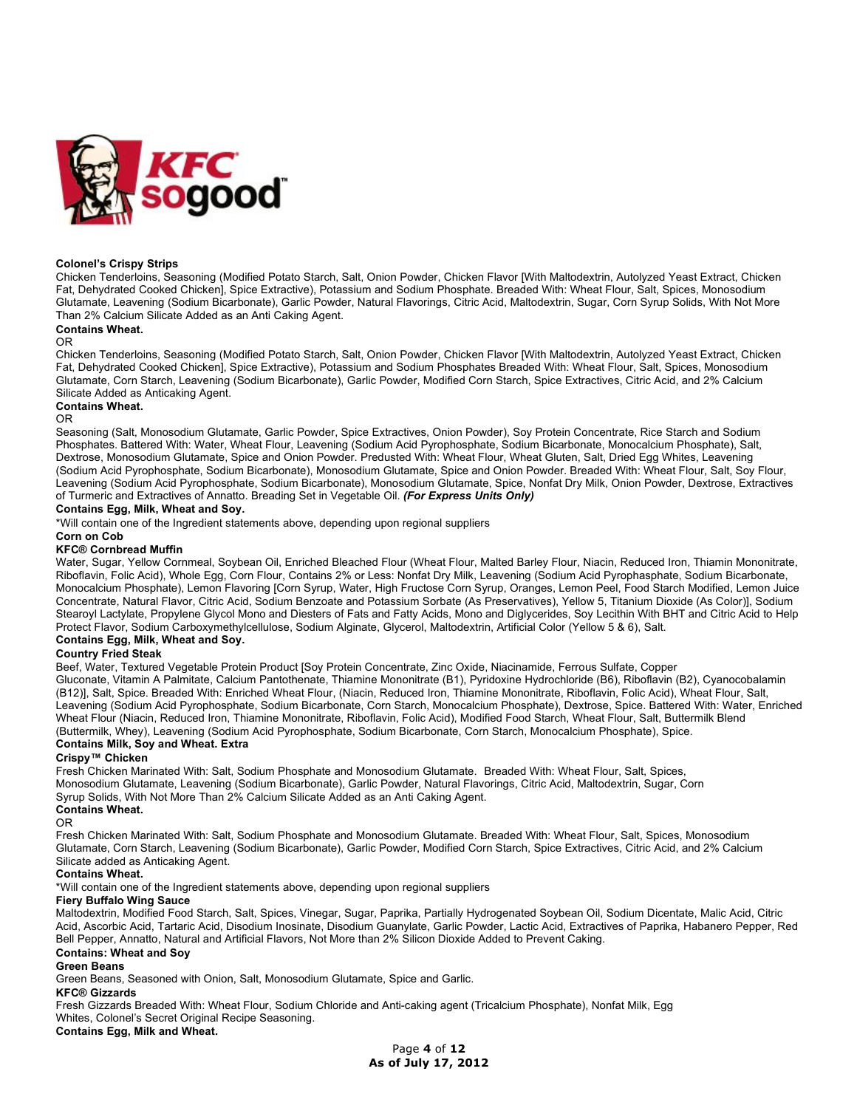

### **Colonel's Crispy Strips**

Chicken Tenderloins, Seasoning (Modified Potato Starch, Salt, Onion Powder, Chicken Flavor [With Maltodextrin, Autolyzed Yeast Extract, Chicken Fat, Dehydrated Cooked Chicken], Spice Extractive), Potassium and Sodium Phosphate. Breaded With: Wheat Flour, Salt, Spices, Monosodium Glutamate, Leavening (Sodium Bicarbonate), Garlic Powder, Natural Flavorings, Citric Acid, Maltodextrin, Sugar, Corn Syrup Solids, With Not More Than 2% Calcium Silicate Added as an Anti Caking Agent.

### **Contains Wheat.**

OR

Chicken Tenderloins, Seasoning (Modified Potato Starch, Salt, Onion Powder, Chicken Flavor [With Maltodextrin, Autolyzed Yeast Extract, Chicken Fat, Dehydrated Cooked Chicken], Spice Extractive), Potassium and Sodium Phosphates Breaded With: Wheat Flour, Salt, Spices, Monosodium Glutamate, Corn Starch, Leavening (Sodium Bicarbonate), Garlic Powder, Modified Corn Starch, Spice Extractives, Citric Acid, and 2% Calcium Silicate Added as Anticaking Agent.

### **Contains Wheat.**

OR

Seasoning (Salt, Monosodium Glutamate, Garlic Powder, Spice Extractives, Onion Powder), Soy Protein Concentrate, Rice Starch and Sodium Phosphates. Battered With: Water, Wheat Flour, Leavening (Sodium Acid Pyrophosphate, Sodium Bicarbonate, Monocalcium Phosphate), Salt, Dextrose, Monosodium Glutamate, Spice and Onion Powder. Predusted With: Wheat Flour, Wheat Gluten, Salt, Dried Egg Whites, Leavening (Sodium Acid Pyrophosphate, Sodium Bicarbonate), Monosodium Glutamate, Spice and Onion Powder. Breaded With: Wheat Flour, Salt, Soy Flour, Leavening (Sodium Acid Pyrophosphate, Sodium Bicarbonate), Monosodium Glutamate, Spice, Nonfat Dry Milk, Onion Powder, Dextrose, Extractives of Turmeric and Extractives of Annatto. Breading Set in Vegetable Oil. *(For Express Units Only)*

#### **Contains Egg, Milk, Wheat and Soy.**

\*Will contain one of the Ingredient statements above, depending upon regional suppliers

**Corn on Cob**

#### **KFC® Cornbread Muffin**

Water, Sugar, Yellow Cornmeal, Soybean Oil, Enriched Bleached Flour (Wheat Flour, Malted Barley Flour, Niacin, Reduced Iron, Thiamin Mononitrate, Riboflavin, Folic Acid), Whole Egg, Corn Flour, Contains 2% or Less: Nonfat Dry Milk, Leavening (Sodium Acid Pyrophasphate, Sodium Bicarbonate, Monocalcium Phosphate), Lemon Flavoring [Corn Syrup, Water, High Fructose Corn Syrup, Oranges, Lemon Peel, Food Starch Modified, Lemon Juice Concentrate, Natural Flavor, Citric Acid, Sodium Benzoate and Potassium Sorbate (As Preservatives), Yellow 5, Titanium Dioxide (As Color)], Sodium Stearoyl Lactylate, Propylene Glycol Mono and Diesters of Fats and Fatty Acids, Mono and Diglycerides, Soy Lecithin With BHT and Citric Acid to Help Protect Flavor, Sodium Carboxymethylcellulose, Sodium Alginate, Glycerol, Maltodextrin, Artificial Color (Yellow 5 & 6), Salt.

### **Contains Egg, Milk, Wheat and Soy.**

### **Country Fried Steak**

Beef, Water, Textured Vegetable Protein Product [Soy Protein Concentrate, Zinc Oxide, Niacinamide, Ferrous Sulfate, Copper Gluconate, Vitamin A Palmitate, Calcium Pantothenate, Thiamine Mononitrate (B1), Pyridoxine Hydrochloride (B6), Riboflavin (B2), Cyanocobalamin (B12)], Salt, Spice. Breaded With: Enriched Wheat Flour, (Niacin, Reduced Iron, Thiamine Mononitrate, Riboflavin, Folic Acid), Wheat Flour, Salt, Leavening (Sodium Acid Pyrophosphate, Sodium Bicarbonate, Corn Starch, Monocalcium Phosphate), Dextrose, Spice. Battered With: Water, Enriched Wheat Flour (Niacin, Reduced Iron, Thiamine Mononitrate, Riboflavin, Folic Acid), Modified Food Starch, Wheat Flour, Salt, Buttermilk Blend (Buttermilk, Whey), Leavening (Sodium Acid Pyrophosphate, Sodium Bicarbonate, Corn Starch, Monocalcium Phosphate), Spice. **Contains Milk, Soy and Wheat. Extra**

#### **Crispy™ Chicken**

Fresh Chicken Marinated With: Salt, Sodium Phosphate and Monosodium Glutamate. Breaded With: Wheat Flour, Salt, Spices, Monosodium Glutamate, Leavening (Sodium Bicarbonate), Garlic Powder, Natural Flavorings, Citric Acid, Maltodextrin, Sugar, Corn Syrup Solids, With Not More Than 2% Calcium Silicate Added as an Anti Caking Agent. **Contains Wheat.**

OR

Fresh Chicken Marinated With: Salt, Sodium Phosphate and Monosodium Glutamate. Breaded With: Wheat Flour, Salt, Spices, Monosodium Glutamate, Corn Starch, Leavening (Sodium Bicarbonate), Garlic Powder, Modified Corn Starch, Spice Extractives, Citric Acid, and 2% Calcium Silicate added as Anticaking Agent.

#### **Contains Wheat.**

\*Will contain one of the Ingredient statements above, depending upon regional suppliers

#### **Fiery Buffalo Wing Sauce**

Maltodextrin, Modified Food Starch, Salt, Spices, Vinegar, Sugar, Paprika, Partially Hydrogenated Soybean Oil, Sodium Dicentate, Malic Acid, Citric Acid, Ascorbic Acid, Tartaric Acid, Disodium Inosinate, Disodium Guanylate, Garlic Powder, Lactic Acid, Extractives of Paprika, Habanero Pepper, Red Bell Pepper, Annatto, Natural and Artificial Flavors, Not More than 2% Silicon Dioxide Added to Prevent Caking.

### **Contains: Wheat and Soy**

**Green Beans**

Green Beans, Seasoned with Onion, Salt, Monosodium Glutamate, Spice and Garlic.

### **KFC® Gizzards**

Fresh Gizzards Breaded With: Wheat Flour, Sodium Chloride and Anti-caking agent (Tricalcium Phosphate), Nonfat Milk, Egg Whites, Colonel's Secret Original Recipe Seasoning.

### **Contains Egg, Milk and Wheat.**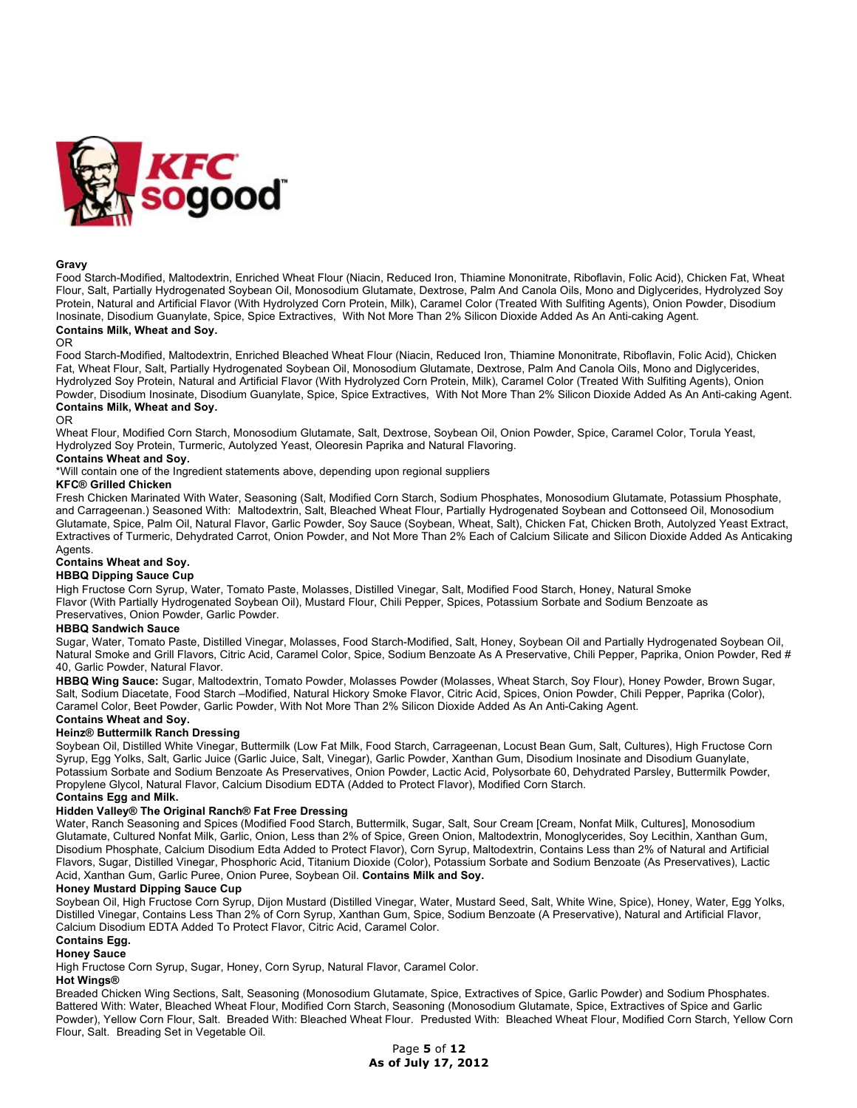

#### **Gravy**

Food Starch-Modified, Maltodextrin, Enriched Wheat Flour (Niacin, Reduced Iron, Thiamine Mononitrate, Riboflavin, Folic Acid), Chicken Fat, Wheat Flour, Salt, Partially Hydrogenated Soybean Oil, Monosodium Glutamate, Dextrose, Palm And Canola Oils, Mono and Diglycerides, Hydrolyzed Soy Protein, Natural and Artificial Flavor (With Hydrolyzed Corn Protein, Milk), Caramel Color (Treated With Sulfiting Agents), Onion Powder, Disodium Inosinate, Disodium Guanylate, Spice, Spice Extractives, With Not More Than 2% Silicon Dioxide Added As An Anti-caking Agent. **Contains Milk, Wheat and Soy.**

OR

Food Starch-Modified, Maltodextrin, Enriched Bleached Wheat Flour (Niacin, Reduced Iron, Thiamine Mononitrate, Riboflavin, Folic Acid), Chicken Fat, Wheat Flour, Salt, Partially Hydrogenated Soybean Oil, Monosodium Glutamate, Dextrose, Palm And Canola Oils, Mono and Diglycerides, Hydrolyzed Soy Protein, Natural and Artificial Flavor (With Hydrolyzed Corn Protein, Milk), Caramel Color (Treated With Sulfiting Agents), Onion Powder, Disodium Inosinate, Disodium Guanylate, Spice, Spice Extractives, With Not More Than 2% Silicon Dioxide Added As An Anti-caking Agent. **Contains Milk, Wheat and Soy.**

#### OR

Wheat Flour, Modified Corn Starch, Monosodium Glutamate, Salt, Dextrose, Soybean Oil, Onion Powder, Spice, Caramel Color, Torula Yeast, Hydrolyzed Soy Protein, Turmeric, Autolyzed Yeast, Oleoresin Paprika and Natural Flavoring.

### **Contains Wheat and Soy.**

\*Will contain one of the Ingredient statements above, depending upon regional suppliers

### **KFC® Grilled Chicken**

Fresh Chicken Marinated With Water, Seasoning (Salt, Modified Corn Starch, Sodium Phosphates, Monosodium Glutamate, Potassium Phosphate, and Carrageenan.) Seasoned With: Maltodextrin, Salt, Bleached Wheat Flour, Partially Hydrogenated Soybean and Cottonseed Oil, Monosodium Glutamate, Spice, Palm Oil, Natural Flavor, Garlic Powder, Soy Sauce (Soybean, Wheat, Salt), Chicken Fat, Chicken Broth, Autolyzed Yeast Extract, Extractives of Turmeric, Dehydrated Carrot, Onion Powder, and Not More Than 2% Each of Calcium Silicate and Silicon Dioxide Added As Anticaking Agents.

# **Contains Wheat and Soy.**

### **HBBQ Dipping Sauce Cup**

High Fructose Corn Syrup, Water, Tomato Paste, Molasses, Distilled Vinegar, Salt, Modified Food Starch, Honey, Natural Smoke Flavor (With Partially Hydrogenated Soybean Oil), Mustard Flour, Chili Pepper, Spices, Potassium Sorbate and Sodium Benzoate as Preservatives, Onion Powder, Garlic Powder.

#### **HBBQ Sandwich Sauce**

Sugar, Water, Tomato Paste, Distilled Vinegar, Molasses, Food Starch-Modified, Salt, Honey, Soybean Oil and Partially Hydrogenated Soybean Oil, Natural Smoke and Grill Flavors, Citric Acid, Caramel Color, Spice, Sodium Benzoate As A Preservative, Chili Pepper, Paprika, Onion Powder, Red # 40, Garlic Powder, Natural Flavor.

**HBBQ Wing Sauce:** Sugar, Maltodextrin, Tomato Powder, Molasses Powder (Molasses, Wheat Starch, Soy Flour), Honey Powder, Brown Sugar, Salt, Sodium Diacetate, Food Starch –Modified, Natural Hickory Smoke Flavor, Citric Acid, Spices, Onion Powder, Chili Pepper, Paprika (Color), Caramel Color, Beet Powder, Garlic Powder, With Not More Than 2% Silicon Dioxide Added As An Anti-Caking Agent. **Contains Wheat and Soy.**

# **Heinz® Buttermilk Ranch Dressing**

Soybean Oil, Distilled White Vinegar, Buttermilk (Low Fat Milk, Food Starch, Carrageenan, Locust Bean Gum, Salt, Cultures), High Fructose Corn Syrup, Egg Yolks, Salt, Garlic Juice (Garlic Juice, Salt, Vinegar), Garlic Powder, Xanthan Gum, Disodium Inosinate and Disodium Guanylate, Potassium Sorbate and Sodium Benzoate As Preservatives, Onion Powder, Lactic Acid, Polysorbate 60, Dehydrated Parsley, Buttermilk Powder, Propylene Glycol, Natural Flavor, Calcium Disodium EDTA (Added to Protect Flavor), Modified Corn Starch.

#### **Contains Egg and Milk.**

### **Hidden Valley® The Original Ranch® Fat Free Dressing**

Water, Ranch Seasoning and Spices (Modified Food Starch, Buttermilk, Sugar, Salt, Sour Cream [Cream, Nonfat Milk, Cultures], Monosodium Glutamate, Cultured Nonfat Milk, Garlic, Onion, Less than 2% of Spice, Green Onion, Maltodextrin, Monoglycerides, Soy Lecithin, Xanthan Gum, Disodium Phosphate, Calcium Disodium Edta Added to Protect Flavor), Corn Syrup, Maltodextrin, Contains Less than 2% of Natural and Artificial Flavors, Sugar, Distilled Vinegar, Phosphoric Acid, Titanium Dioxide (Color), Potassium Sorbate and Sodium Benzoate (As Preservatives), Lactic Acid, Xanthan Gum, Garlic Puree, Onion Puree, Soybean Oil. **Contains Milk and Soy.**

#### **Honey Mustard Dipping Sauce Cup**

Soybean Oil, High Fructose Corn Syrup, Dijon Mustard (Distilled Vinegar, Water, Mustard Seed, Salt, White Wine, Spice), Honey, Water, Egg Yolks, Distilled Vinegar, Contains Less Than 2% of Corn Syrup, Xanthan Gum, Spice, Sodium Benzoate (A Preservative), Natural and Artificial Flavor, Calcium Disodium EDTA Added To Protect Flavor, Citric Acid, Caramel Color.

### **Contains Egg.**

# **Honey Sauce**

High Fructose Corn Syrup, Sugar, Honey, Corn Syrup, Natural Flavor, Caramel Color.

### **Hot Wings®**

Breaded Chicken Wing Sections, Salt, Seasoning (Monosodium Glutamate, Spice, Extractives of Spice, Garlic Powder) and Sodium Phosphates. Battered With: Water, Bleached Wheat Flour, Modified Corn Starch, Seasoning (Monosodium Glutamate, Spice, Extractives of Spice and Garlic Powder), Yellow Corn Flour, Salt. Breaded With: Bleached Wheat Flour. Predusted With: Bleached Wheat Flour, Modified Corn Starch, Yellow Corn Flour, Salt. Breading Set in Vegetable Oil.

> Page **5** of **12 As of July 17, 2012**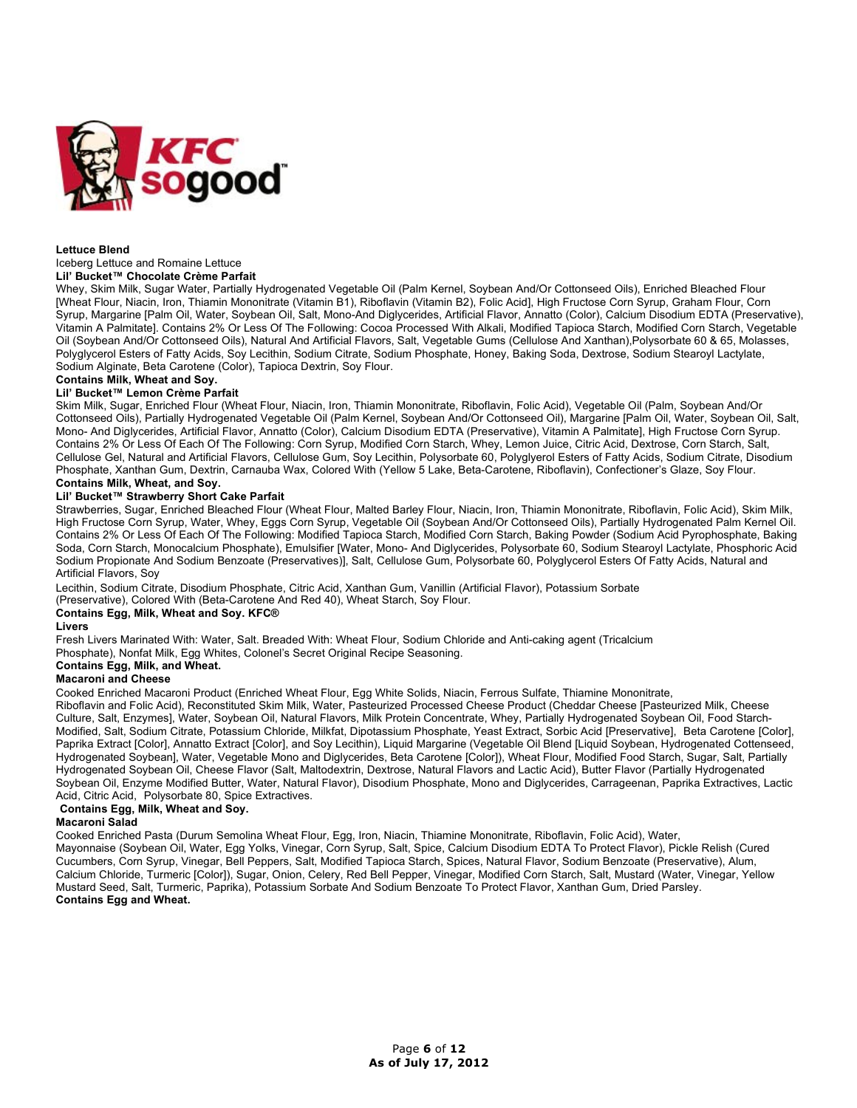

#### **Lettuce Blend**

Iceberg Lettuce and Romaine Lettuce

### **Lil' Bucket™ Chocolate Crème Parfait**

Whey, Skim Milk, Sugar Water, Partially Hydrogenated Vegetable Oil (Palm Kernel, Soybean And/Or Cottonseed Oils), Enriched Bleached Flour [Wheat Flour, Niacin, Iron, Thiamin Mononitrate (Vitamin B1), Riboflavin (Vitamin B2), Folic Acid], High Fructose Corn Syrup, Graham Flour, Corn Syrup, Margarine [Palm Oil, Water, Soybean Oil, Salt, Mono-And Diglycerides, Artificial Flavor, Annatto (Color), Calcium Disodium EDTA (Preservative), Vitamin A Palmitate]. Contains 2% Or Less Of The Following: Cocoa Processed With Alkali, Modified Tapioca Starch, Modified Corn Starch, Vegetable Oil (Soybean And/Or Cottonseed Oils), Natural And Artificial Flavors, Salt, Vegetable Gums (Cellulose And Xanthan),Polysorbate 60 & 65, Molasses, Polyglycerol Esters of Fatty Acids, Soy Lecithin, Sodium Citrate, Sodium Phosphate, Honey, Baking Soda, Dextrose, Sodium Stearoyl Lactylate, Sodium Alginate, Beta Carotene (Color), Tapioca Dextrin, Soy Flour.

### **Contains Milk, Wheat and Soy.**

### **Lil' Bucket™ Lemon Crème Parfait**

Skim Milk, Sugar, Enriched Flour (Wheat Flour, Niacin, Iron, Thiamin Mononitrate, Riboflavin, Folic Acid), Vegetable Oil (Palm, Soybean And/Or Cottonseed Oils), Partially Hydrogenated Vegetable Oil (Palm Kernel, Soybean And/Or Cottonseed Oil), Margarine [Palm Oil, Water, Soybean Oil, Salt, Mono- And Diglycerides, Artificial Flavor, Annatto (Color), Calcium Disodium EDTA (Preservative), Vitamin A Palmitate], High Fructose Corn Syrup. Contains 2% Or Less Of Each Of The Following: Corn Syrup, Modified Corn Starch, Whey, Lemon Juice, Citric Acid, Dextrose, Corn Starch, Salt, Cellulose Gel, Natural and Artificial Flavors, Cellulose Gum, Soy Lecithin, Polysorbate 60, Polyglyerol Esters of Fatty Acids, Sodium Citrate, Disodium Phosphate, Xanthan Gum, Dextrin, Carnauba Wax, Colored With (Yellow 5 Lake, Beta-Carotene, Riboflavin), Confectioner's Glaze, Soy Flour. **Contains Milk, Wheat, and Soy.**

### **Lil' Bucket™ Strawberry Short Cake Parfait**

Strawberries, Sugar, Enriched Bleached Flour (Wheat Flour, Malted Barley Flour, Niacin, Iron, Thiamin Mononitrate, Riboflavin, Folic Acid), Skim Milk, High Fructose Corn Syrup, Water, Whey, Eggs Corn Syrup, Vegetable Oil (Soybean And/Or Cottonseed Oils), Partially Hydrogenated Palm Kernel Oil. Contains 2% Or Less Of Each Of The Following: Modified Tapioca Starch, Modified Corn Starch, Baking Powder (Sodium Acid Pyrophosphate, Baking Soda, Corn Starch, Monocalcium Phosphate), Emulsifier [Water, Mono- And Diglycerides, Polysorbate 60, Sodium Stearoyl Lactylate, Phosphoric Acid Sodium Propionate And Sodium Benzoate (Preservatives)], Salt, Cellulose Gum, Polysorbate 60, Polyglycerol Esters Of Fatty Acids, Natural and Artificial Flavors, Soy

Lecithin, Sodium Citrate, Disodium Phosphate, Citric Acid, Xanthan Gum, Vanillin (Artificial Flavor), Potassium Sorbate (Preservative), Colored With (Beta-Carotene And Red 40), Wheat Starch, Soy Flour.

### **Contains Egg, Milk, Wheat and Soy. KFC®**

#### **Livers**

Fresh Livers Marinated With: Water, Salt. Breaded With: Wheat Flour, Sodium Chloride and Anti-caking agent (Tricalcium Phosphate), Nonfat Milk, Egg Whites, Colonel's Secret Original Recipe Seasoning.

**Contains Egg, Milk, and Wheat.** 

### **Macaroni and Cheese**

Cooked Enriched Macaroni Product (Enriched Wheat Flour, Egg White Solids, Niacin, Ferrous Sulfate, Thiamine Mononitrate,

Riboflavin and Folic Acid), Reconstituted Skim Milk, Water, Pasteurized Processed Cheese Product (Cheddar Cheese [Pasteurized Milk, Cheese Culture, Salt, Enzymes], Water, Soybean Oil, Natural Flavors, Milk Protein Concentrate, Whey, Partially Hydrogenated Soybean Oil, Food Starch-Modified, Salt, Sodium Citrate, Potassium Chloride, Milkfat, Dipotassium Phosphate, Yeast Extract, Sorbic Acid [Preservative], Beta Carotene [Color], Paprika Extract [Color], Annatto Extract [Color], and Soy Lecithin), Liquid Margarine (Vegetable Oil Blend [Liquid Soybean, Hydrogenated Cottenseed, Hydrogenated Soybean], Water, Vegetable Mono and Diglycerides, Beta Carotene [Color]), Wheat Flour, Modified Food Starch, Sugar, Salt, Partially Hydrogenated Soybean Oil, Cheese Flavor (Salt, Maltodextrin, Dextrose, Natural Flavors and Lactic Acid), Butter Flavor (Partially Hydrogenated Soybean Oil, Enzyme Modified Butter, Water, Natural Flavor), Disodium Phosphate, Mono and Diglycerides, Carrageenan, Paprika Extractives, Lactic Acid, Citric Acid, Polysorbate 80, Spice Extractives.

### **Contains Egg, Milk, Wheat and Soy.**

### **Macaroni Salad**

Cooked Enriched Pasta (Durum Semolina Wheat Flour, Egg, Iron, Niacin, Thiamine Mononitrate, Riboflavin, Folic Acid), Water, Mayonnaise (Soybean Oil, Water, Egg Yolks, Vinegar, Corn Syrup, Salt, Spice, Calcium Disodium EDTA To Protect Flavor), Pickle Relish (Cured Cucumbers, Corn Syrup, Vinegar, Bell Peppers, Salt, Modified Tapioca Starch, Spices, Natural Flavor, Sodium Benzoate (Preservative), Alum, Calcium Chloride, Turmeric [Color]), Sugar, Onion, Celery, Red Bell Pepper, Vinegar, Modified Corn Starch, Salt, Mustard (Water, Vinegar, Yellow Mustard Seed, Salt, Turmeric, Paprika), Potassium Sorbate And Sodium Benzoate To Protect Flavor, Xanthan Gum, Dried Parsley. **Contains Egg and Wheat.**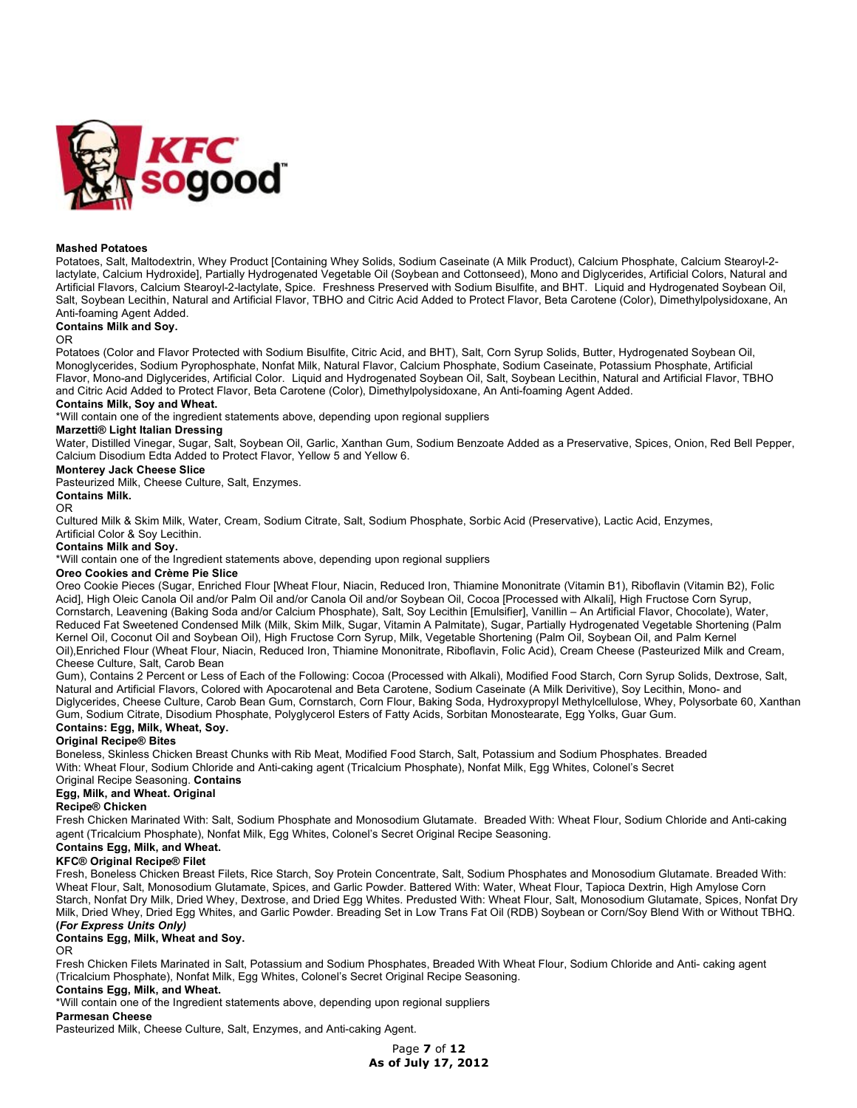

### **Mashed Potatoes**

Potatoes, Salt, Maltodextrin, Whey Product [Containing Whey Solids, Sodium Caseinate (A Milk Product), Calcium Phosphate, Calcium Stearoyl-2 lactylate, Calcium Hydroxide], Partially Hydrogenated Vegetable Oil (Soybean and Cottonseed), Mono and Diglycerides, Artificial Colors, Natural and Artificial Flavors, Calcium Stearoyl-2-lactylate, Spice. Freshness Preserved with Sodium Bisulfite, and BHT. Liquid and Hydrogenated Soybean Oil, Salt, Soybean Lecithin, Natural and Artificial Flavor, TBHO and Citric Acid Added to Protect Flavor, Beta Carotene (Color), Dimethylpolysidoxane, An Anti-foaming Agent Added.

### **Contains Milk and Soy.**

OR

Potatoes (Color and Flavor Protected with Sodium Bisulfite, Citric Acid, and BHT), Salt, Corn Syrup Solids, Butter, Hydrogenated Soybean Oil, Monoglycerides, Sodium Pyrophosphate, Nonfat Milk, Natural Flavor, Calcium Phosphate, Sodium Caseinate, Potassium Phosphate, Artificial Flavor, Mono-and Diglycerides, Artificial Color. Liquid and Hydrogenated Soybean Oil, Salt, Soybean Lecithin, Natural and Artificial Flavor, TBHO and Citric Acid Added to Protect Flavor, Beta Carotene (Color), Dimethylpolysidoxane, An Anti-foaming Agent Added.

### **Contains Milk, Soy and Wheat.**

\*Will contain one of the ingredient statements above, depending upon regional suppliers

### **Marzetti® Light Italian Dressing**

Water, Distilled Vinegar, Sugar, Salt, Soybean Oil, Garlic, Xanthan Gum, Sodium Benzoate Added as a Preservative, Spices, Onion, Red Bell Pepper, Calcium Disodium Edta Added to Protect Flavor, Yellow 5 and Yellow 6.

#### **Monterey Jack Cheese Slice**

Pasteurized Milk, Cheese Culture, Salt, Enzymes.

#### **Contains Milk.**

OR

Cultured Milk & Skim Milk, Water, Cream, Sodium Citrate, Salt, Sodium Phosphate, Sorbic Acid (Preservative), Lactic Acid, Enzymes,

Artificial Color & Soy Lecithin.

**Contains Milk and Soy.**

\*Will contain one of the Ingredient statements above, depending upon regional suppliers

#### **Oreo Cookies and Crème Pie Slice**

Oreo Cookie Pieces (Sugar, Enriched Flour [Wheat Flour, Niacin, Reduced Iron, Thiamine Mononitrate (Vitamin B1), Riboflavin (Vitamin B2), Folic Acid], High Oleic Canola Oil and/or Palm Oil and/or Canola Oil and/or Soybean Oil, Cocoa [Processed with Alkali], High Fructose Corn Syrup, Cornstarch, Leavening (Baking Soda and/or Calcium Phosphate), Salt, Soy Lecithin [Emulsifier], Vanillin – An Artificial Flavor, Chocolate), Water, Reduced Fat Sweetened Condensed Milk (Milk, Skim Milk, Sugar, Vitamin A Palmitate), Sugar, Partially Hydrogenated Vegetable Shortening (Palm Kernel Oil, Coconut Oil and Soybean Oil), High Fructose Corn Syrup, Milk, Vegetable Shortening (Palm Oil, Soybean Oil, and Palm Kernel Oil),Enriched Flour (Wheat Flour, Niacin, Reduced Iron, Thiamine Mononitrate, Riboflavin, Folic Acid), Cream Cheese (Pasteurized Milk and Cream, Cheese Culture, Salt, Carob Bean

Gum), Contains 2 Percent or Less of Each of the Following: Cocoa (Processed with Alkali), Modified Food Starch, Corn Syrup Solids, Dextrose, Salt, Natural and Artificial Flavors, Colored with Apocarotenal and Beta Carotene, Sodium Caseinate (A Milk Derivitive), Soy Lecithin, Mono- and Diglycerides, Cheese Culture, Carob Bean Gum, Cornstarch, Corn Flour, Baking Soda, Hydroxypropyl Methylcellulose, Whey, Polysorbate 60, Xanthan Gum, Sodium Citrate, Disodium Phosphate, Polyglycerol Esters of Fatty Acids, Sorbitan Monostearate, Egg Yolks, Guar Gum.

### **Contains: Egg, Milk, Wheat, Soy.**

### **Original Recipe® Bites**

Boneless, Skinless Chicken Breast Chunks with Rib Meat, Modified Food Starch, Salt, Potassium and Sodium Phosphates. Breaded With: Wheat Flour, Sodium Chloride and Anti-caking agent (Tricalcium Phosphate), Nonfat Milk, Egg Whites, Colonel's Secret

#### Original Recipe Seasoning. **Contains Egg, Milk, and Wheat. Original**

# **Recipe® Chicken**

Fresh Chicken Marinated With: Salt, Sodium Phosphate and Monosodium Glutamate. Breaded With: Wheat Flour, Sodium Chloride and Anti-caking agent (Tricalcium Phosphate), Nonfat Milk, Egg Whites, Colonel's Secret Original Recipe Seasoning.

### **Contains Egg, Milk, and Wheat.**

#### **KFC® Original Recipe® Filet**

Fresh, Boneless Chicken Breast Filets, Rice Starch, Soy Protein Concentrate, Salt, Sodium Phosphates and Monosodium Glutamate. Breaded With: Wheat Flour, Salt, Monosodium Glutamate, Spices, and Garlic Powder. Battered With: Water, Wheat Flour, Tapioca Dextrin, High Amylose Corn Starch, Nonfat Dry Milk, Dried Whey, Dextrose, and Dried Egg Whites. Predusted With: Wheat Flour, Salt, Monosodium Glutamate, Spices, Nonfat Dry Milk, Dried Whey, Dried Egg Whites, and Garlic Powder. Breading Set in Low Trans Fat Oil (RDB) Soybean or Corn/Soy Blend With or Without TBHQ. **(***For Express Units Only)*

#### **Contains Egg, Milk, Wheat and Soy.**

### OR

Fresh Chicken Filets Marinated in Salt, Potassium and Sodium Phosphates, Breaded With Wheat Flour, Sodium Chloride and Anti- caking agent (Tricalcium Phosphate), Nonfat Milk, Egg Whites, Colonel's Secret Original Recipe Seasoning.

### **Contains Egg, Milk, and Wheat.**

\*Will contain one of the Ingredient statements above, depending upon regional suppliers

### **Parmesan Cheese**

Pasteurized Milk, Cheese Culture, Salt, Enzymes, and Anti-caking Agent.

Page **7** of **12 As of July 17, 2012**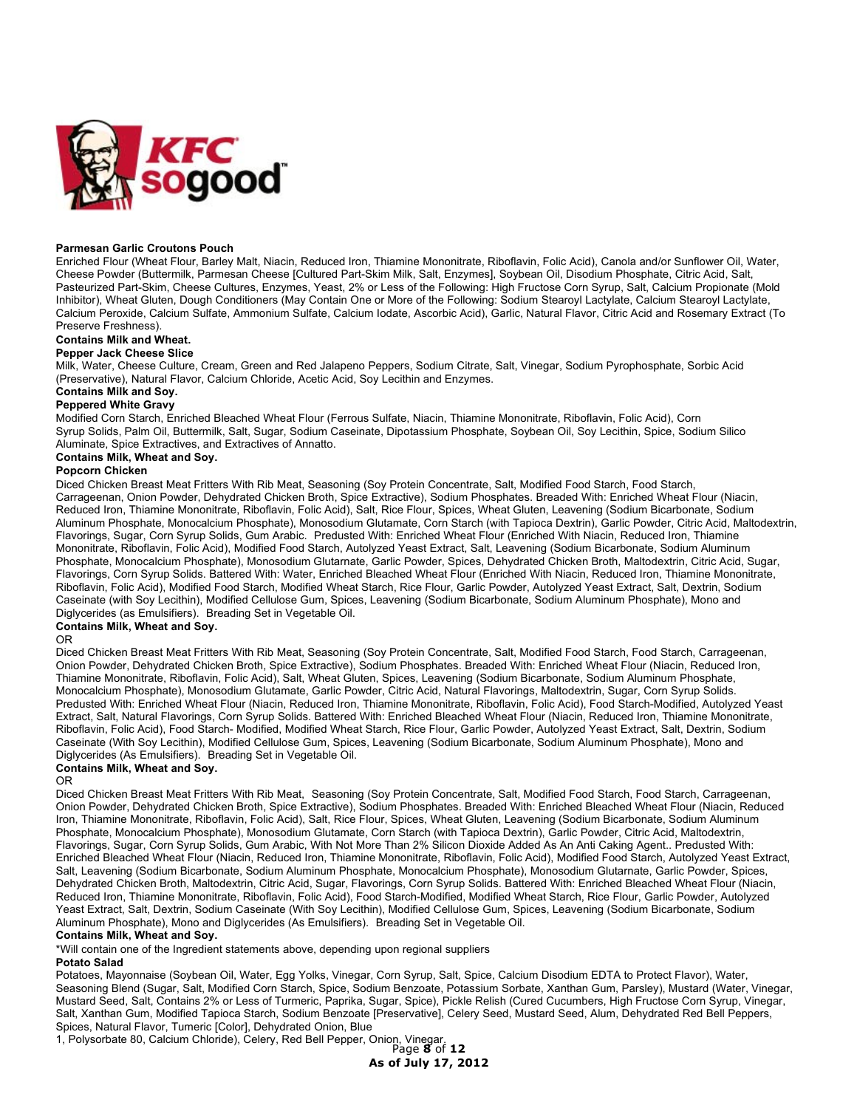

#### **Parmesan Garlic Croutons Pouch**

Enriched Flour (Wheat Flour, Barley Malt, Niacin, Reduced Iron, Thiamine Mononitrate, Riboflavin, Folic Acid), Canola and/or Sunflower Oil, Water, Cheese Powder (Buttermilk, Parmesan Cheese [Cultured Part-Skim Milk, Salt, Enzymes], Soybean Oil, Disodium Phosphate, Citric Acid, Salt, Pasteurized Part-Skim, Cheese Cultures, Enzymes, Yeast, 2% or Less of the Following: High Fructose Corn Syrup, Salt, Calcium Propionate (Mold Inhibitor), Wheat Gluten, Dough Conditioners (May Contain One or More of the Following: Sodium Stearoyl Lactylate, Calcium Stearoyl Lactylate, Calcium Peroxide, Calcium Sulfate, Ammonium Sulfate, Calcium Iodate, Ascorbic Acid), Garlic, Natural Flavor, Citric Acid and Rosemary Extract (To Preserve Freshness).

# **Contains Milk and Wheat.**

### **Pepper Jack Cheese Slice**

Milk, Water, Cheese Culture, Cream, Green and Red Jalapeno Peppers, Sodium Citrate, Salt, Vinegar, Sodium Pyrophosphate, Sorbic Acid (Preservative), Natural Flavor, Calcium Chloride, Acetic Acid, Soy Lecithin and Enzymes.

# **Contains Milk and Soy.**

**Peppered White Gravy**

Modified Corn Starch, Enriched Bleached Wheat Flour (Ferrous Sulfate, Niacin, Thiamine Mononitrate, Riboflavin, Folic Acid), Corn Syrup Solids, Palm Oil, Buttermilk, Salt, Sugar, Sodium Caseinate, Dipotassium Phosphate, Soybean Oil, Soy Lecithin, Spice, Sodium Silico Aluminate, Spice Extractives, and Extractives of Annatto.

### **Contains Milk, Wheat and Soy.**

#### **Popcorn Chicken**

Diced Chicken Breast Meat Fritters With Rib Meat, Seasoning (Soy Protein Concentrate, Salt, Modified Food Starch, Food Starch, Carrageenan, Onion Powder, Dehydrated Chicken Broth, Spice Extractive), Sodium Phosphates. Breaded With: Enriched Wheat Flour (Niacin, Reduced Iron, Thiamine Mononitrate, Riboflavin, Folic Acid), Salt, Rice Flour, Spices, Wheat Gluten, Leavening (Sodium Bicarbonate, Sodium Aluminum Phosphate, Monocalcium Phosphate), Monosodium Glutamate, Corn Starch (with Tapioca Dextrin), Garlic Powder, Citric Acid, Maltodextrin, Flavorings, Sugar, Corn Syrup Solids, Gum Arabic. Predusted With: Enriched Wheat Flour (Enriched With Niacin, Reduced Iron, Thiamine Mononitrate, Riboflavin, Folic Acid), Modified Food Starch, Autolyzed Yeast Extract, Salt, Leavening (Sodium Bicarbonate, Sodium Aluminum Phosphate, Monocalcium Phosphate), Monosodium Glutarnate, Garlic Powder, Spices, Dehydrated Chicken Broth, Maltodextrin, Citric Acid, Sugar, Flavorings, Corn Syrup Solids. Battered With: Water, Enriched Bleached Wheat Flour (Enriched With Niacin, Reduced Iron, Thiamine Mononitrate, Riboflavin, Folic Acid), Modified Food Starch, Modified Wheat Starch, Rice Flour, Garlic Powder, Autolyzed Yeast Extract, Salt, Dextrin, Sodium Caseinate (with Soy Lecithin), Modified Cellulose Gum, Spices, Leavening (Sodium Bicarbonate, Sodium Aluminum Phosphate), Mono and Diglycerides (as Emulsifiers). Breading Set in Vegetable Oil.

# **Contains Milk, Wheat and Soy.**

OR

Diced Chicken Breast Meat Fritters With Rib Meat, Seasoning (Soy Protein Concentrate, Salt, Modified Food Starch, Food Starch, Carrageenan, Onion Powder, Dehydrated Chicken Broth, Spice Extractive), Sodium Phosphates. Breaded With: Enriched Wheat Flour (Niacin, Reduced Iron, Thiamine Mononitrate, Riboflavin, Folic Acid), Salt, Wheat Gluten, Spices, Leavening (Sodium Bicarbonate, Sodium Aluminum Phosphate, Monocalcium Phosphate), Monosodium Glutamate, Garlic Powder, Citric Acid, Natural Flavorings, Maltodextrin, Sugar, Corn Syrup Solids. Predusted With: Enriched Wheat Flour (Niacin, Reduced Iron, Thiamine Mononitrate, Riboflavin, Folic Acid), Food Starch-Modified, Autolyzed Yeast Extract, Salt, Natural Flavorings, Corn Syrup Solids. Battered With: Enriched Bleached Wheat Flour (Niacin, Reduced Iron, Thiamine Mononitrate, Riboflavin, Folic Acid), Food Starch- Modified, Modified Wheat Starch, Rice Flour, Garlic Powder, Autolyzed Yeast Extract, Salt, Dextrin, Sodium Caseinate (With Soy Lecithin), Modified Cellulose Gum, Spices, Leavening (Sodium Bicarbonate, Sodium Aluminum Phosphate), Mono and Diglycerides (As Emulsifiers). Breading Set in Vegetable Oil.

# **Contains Milk, Wheat and Soy.**

OR

Diced Chicken Breast Meat Fritters With Rib Meat, Seasoning (Soy Protein Concentrate, Salt, Modified Food Starch, Food Starch, Carrageenan, Onion Powder, Dehydrated Chicken Broth, Spice Extractive), Sodium Phosphates. Breaded With: Enriched Bleached Wheat Flour (Niacin, Reduced Iron, Thiamine Mononitrate, Riboflavin, Folic Acid), Salt, Rice Flour, Spices, Wheat Gluten, Leavening (Sodium Bicarbonate, Sodium Aluminum Phosphate, Monocalcium Phosphate), Monosodium Glutamate, Corn Starch (with Tapioca Dextrin), Garlic Powder, Citric Acid, Maltodextrin, Flavorings, Sugar, Corn Syrup Solids, Gum Arabic, With Not More Than 2% Silicon Dioxide Added As An Anti Caking Agent.. Predusted With: Enriched Bleached Wheat Flour (Niacin, Reduced Iron, Thiamine Mononitrate, Riboflavin, Folic Acid), Modified Food Starch, Autolyzed Yeast Extract, Salt, Leavening (Sodium Bicarbonate, Sodium Aluminum Phosphate, Monocalcium Phosphate), Monosodium Glutarnate, Garlic Powder, Spices, Dehydrated Chicken Broth, Maltodextrin, Citric Acid, Sugar, Flavorings, Corn Syrup Solids. Battered With: Enriched Bleached Wheat Flour (Niacin, Reduced Iron, Thiamine Mononitrate, Riboflavin, Folic Acid), Food Starch-Modified, Modified Wheat Starch, Rice Flour, Garlic Powder, Autolyzed Yeast Extract, Salt, Dextrin, Sodium Caseinate (With Soy Lecithin), Modified Cellulose Gum, Spices, Leavening (Sodium Bicarbonate, Sodium Aluminum Phosphate), Mono and Diglycerides (As Emulsifiers). Breading Set in Vegetable Oil.

### **Contains Milk, Wheat and Soy.**

\*Will contain one of the Ingredient statements above, depending upon regional suppliers

### **Potato Salad**

Potatoes, Mayonnaise (Soybean Oil, Water, Egg Yolks, Vinegar, Corn Syrup, Salt, Spice, Calcium Disodium EDTA to Protect Flavor), Water, Seasoning Blend (Sugar, Salt, Modified Corn Starch, Spice, Sodium Benzoate, Potassium Sorbate, Xanthan Gum, Parsley), Mustard (Water, Vinegar, Mustard Seed, Salt, Contains 2% or Less of Turmeric, Paprika, Sugar, Spice), Pickle Relish (Cured Cucumbers, High Fructose Corn Syrup, Vinegar, Salt, Xanthan Gum, Modified Tapioca Starch, Sodium Benzoate [Preservative], Celery Seed, Mustard Seed, Alum, Dehydrated Red Bell Peppers, Spices, Natural Flavor, Tumeric [Color], Dehydrated Onion, Blue

1, Polysorbate 80, Calcium Chloride), Celery, Red Bell Pepper, Onion, Vinegar.<br>Page 8 of 12

**As of July 17, 2012**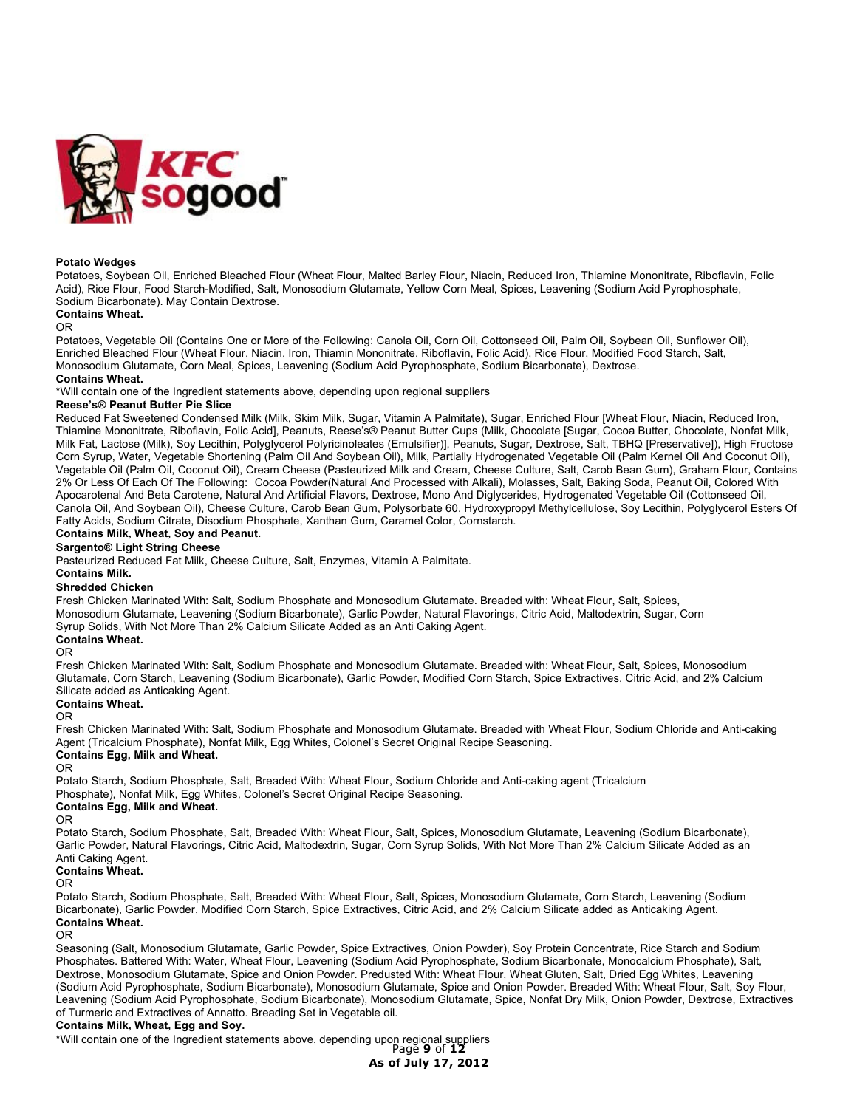

### **Potato Wedges**

Potatoes, Soybean Oil, Enriched Bleached Flour (Wheat Flour, Malted Barley Flour, Niacin, Reduced Iron, Thiamine Mononitrate, Riboflavin, Folic Acid), Rice Flour, Food Starch-Modified, Salt, Monosodium Glutamate, Yellow Corn Meal, Spices, Leavening (Sodium Acid Pyrophosphate, Sodium Bicarbonate). May Contain Dextrose.

# **Contains Wheat.**

OR

Potatoes, Vegetable Oil (Contains One or More of the Following: Canola Oil, Corn Oil, Cottonseed Oil, Palm Oil, Soybean Oil, Sunflower Oil), Enriched Bleached Flour (Wheat Flour, Niacin, Iron, Thiamin Mononitrate, Riboflavin, Folic Acid), Rice Flour, Modified Food Starch, Salt, Monosodium Glutamate, Corn Meal, Spices, Leavening (Sodium Acid Pyrophosphate, Sodium Bicarbonate), Dextrose.

#### **Contains Wheat.**

\*Will contain one of the Ingredient statements above, depending upon regional suppliers

#### **Reese's® Peanut Butter Pie Slice**

Reduced Fat Sweetened Condensed Milk (Milk, Skim Milk, Sugar, Vitamin A Palmitate), Sugar, Enriched Flour [Wheat Flour, Niacin, Reduced Iron, Thiamine Mononitrate, Riboflavin, Folic Acid], Peanuts, Reese's® Peanut Butter Cups (Milk, Chocolate [Sugar, Cocoa Butter, Chocolate, Nonfat Milk, Milk Fat, Lactose (Milk), Soy Lecithin, Polyglycerol Polyricinoleates (Emulsifier)], Peanuts, Sugar, Dextrose, Salt, TBHQ [Preservative]), High Fructose Corn Syrup, Water, Vegetable Shortening (Palm Oil And Soybean Oil), Milk, Partially Hydrogenated Vegetable Oil (Palm Kernel Oil And Coconut Oil), Vegetable Oil (Palm Oil, Coconut Oil), Cream Cheese (Pasteurized Milk and Cream, Cheese Culture, Salt, Carob Bean Gum), Graham Flour, Contains 2% Or Less Of Each Of The Following: Cocoa Powder(Natural And Processed with Alkali), Molasses, Salt, Baking Soda, Peanut Oil, Colored With Apocarotenal And Beta Carotene, Natural And Artificial Flavors, Dextrose, Mono And Diglycerides, Hydrogenated Vegetable Oil (Cottonseed Oil, Canola Oil, And Soybean Oil), Cheese Culture, Carob Bean Gum, Polysorbate 60, Hydroxypropyl Methylcellulose, Soy Lecithin, Polyglycerol Esters Of Fatty Acids, Sodium Citrate, Disodium Phosphate, Xanthan Gum, Caramel Color, Cornstarch.

# **Contains Milk, Wheat, Soy and Peanut.**

**Sargento® Light String Cheese**

Pasteurized Reduced Fat Milk, Cheese Culture, Salt, Enzymes, Vitamin A Palmitate.

### **Contains Milk.**

**Shredded Chicken**

Fresh Chicken Marinated With: Salt, Sodium Phosphate and Monosodium Glutamate. Breaded with: Wheat Flour, Salt, Spices, Monosodium Glutamate, Leavening (Sodium Bicarbonate), Garlic Powder, Natural Flavorings, Citric Acid, Maltodextrin, Sugar, Corn

Syrup Solids, With Not More Than 2% Calcium Silicate Added as an Anti Caking Agent.

### **Contains Wheat.**

OR

Fresh Chicken Marinated With: Salt, Sodium Phosphate and Monosodium Glutamate. Breaded with: Wheat Flour, Salt, Spices, Monosodium Glutamate, Corn Starch, Leavening (Sodium Bicarbonate), Garlic Powder, Modified Corn Starch, Spice Extractives, Citric Acid, and 2% Calcium Silicate added as Anticaking Agent.

**Contains Wheat.** OR

Fresh Chicken Marinated With: Salt, Sodium Phosphate and Monosodium Glutamate. Breaded with Wheat Flour, Sodium Chloride and Anti-caking Agent (Tricalcium Phosphate), Nonfat Milk, Egg Whites, Colonel's Secret Original Recipe Seasoning.

### **Contains Egg, Milk and Wheat.**

OR

Potato Starch, Sodium Phosphate, Salt, Breaded With: Wheat Flour, Sodium Chloride and Anti-caking agent (Tricalcium Phosphate), Nonfat Milk, Egg Whites, Colonel's Secret Original Recipe Seasoning.

### **Contains Egg, Milk and Wheat.**

OR

Potato Starch, Sodium Phosphate, Salt, Breaded With: Wheat Flour, Salt, Spices, Monosodium Glutamate, Leavening (Sodium Bicarbonate), Garlic Powder, Natural Flavorings, Citric Acid, Maltodextrin, Sugar, Corn Syrup Solids, With Not More Than 2% Calcium Silicate Added as an Anti Caking Agent.

### **Contains Wheat.**

OR

Potato Starch, Sodium Phosphate, Salt, Breaded With: Wheat Flour, Salt, Spices, Monosodium Glutamate, Corn Starch, Leavening (Sodium Bicarbonate), Garlic Powder, Modified Corn Starch, Spice Extractives, Citric Acid, and 2% Calcium Silicate added as Anticaking Agent. **Contains Wheat.**

#### OR

Seasoning (Salt, Monosodium Glutamate, Garlic Powder, Spice Extractives, Onion Powder), Soy Protein Concentrate, Rice Starch and Sodium Phosphates. Battered With: Water, Wheat Flour, Leavening (Sodium Acid Pyrophosphate, Sodium Bicarbonate, Monocalcium Phosphate), Salt, Dextrose, Monosodium Glutamate, Spice and Onion Powder. Predusted With: Wheat Flour, Wheat Gluten, Salt, Dried Egg Whites, Leavening (Sodium Acid Pyrophosphate, Sodium Bicarbonate), Monosodium Glutamate, Spice and Onion Powder. Breaded With: Wheat Flour, Salt, Soy Flour, Leavening (Sodium Acid Pyrophosphate, Sodium Bicarbonate), Monosodium Glutamate, Spice, Nonfat Dry Milk, Onion Powder, Dextrose, Extractives of Turmeric and Extractives of Annatto. Breading Set in Vegetable oil.

#### **Contains Milk, Wheat, Egg and Soy.**

\*Will contain one of the Ingredient statements above, depending upon regional suppliers<br>Page 9 of 12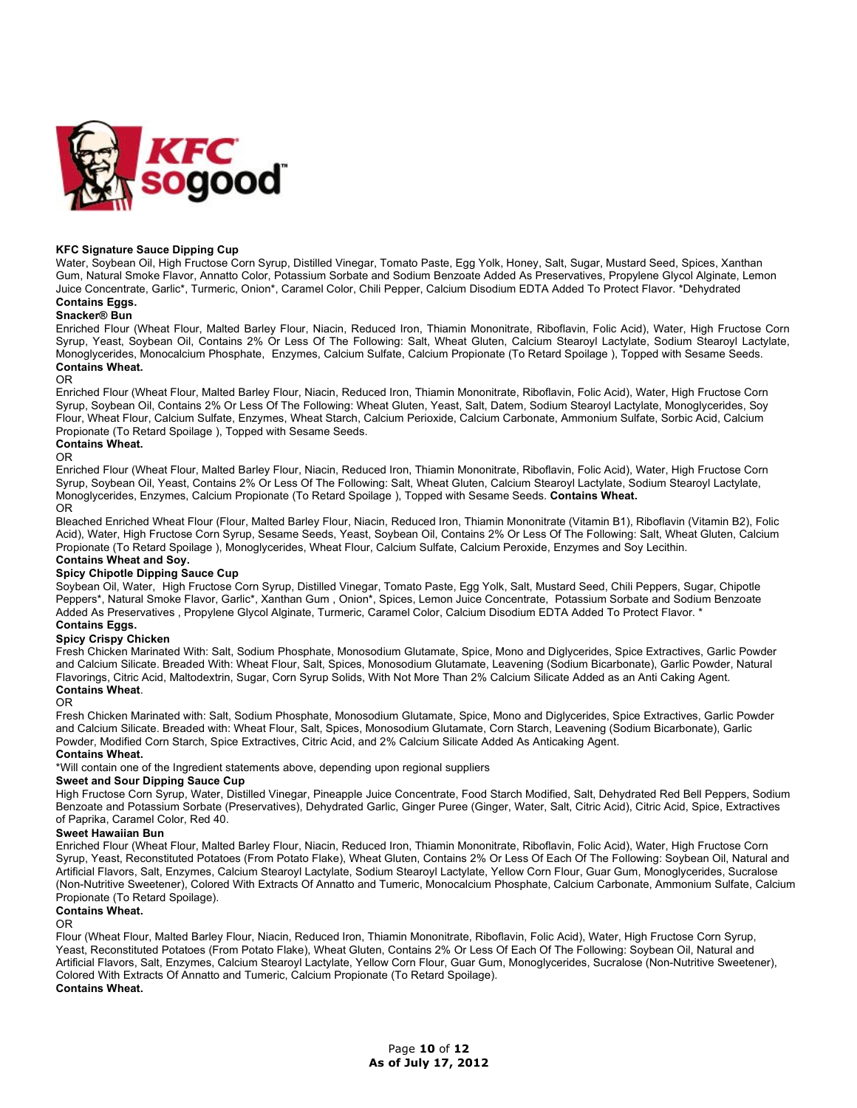

#### **KFC Signature Sauce Dipping Cup**

Water, Soybean Oil, High Fructose Corn Syrup, Distilled Vinegar, Tomato Paste, Egg Yolk, Honey, Salt, Sugar, Mustard Seed, Spices, Xanthan Gum, Natural Smoke Flavor, Annatto Color, Potassium Sorbate and Sodium Benzoate Added As Preservatives, Propylene Glycol Alginate, Lemon Juice Concentrate, Garlic\*, Turmeric, Onion\*, Caramel Color, Chili Pepper, Calcium Disodium EDTA Added To Protect Flavor. \*Dehydrated

# **Contains Eggs.**

**Snacker® Bun**

Enriched Flour (Wheat Flour, Malted Barley Flour, Niacin, Reduced Iron, Thiamin Mononitrate, Riboflavin, Folic Acid), Water, High Fructose Corn Syrup, Yeast, Soybean Oil, Contains 2% Or Less Of The Following: Salt, Wheat Gluten, Calcium Stearoyl Lactylate, Sodium Stearoyl Lactylate, Monoglycerides, Monocalcium Phosphate, Enzymes, Calcium Sulfate, Calcium Propionate (To Retard Spoilage ), Topped with Sesame Seeds. **Contains Wheat.**

#### OR

Enriched Flour (Wheat Flour, Malted Barley Flour, Niacin, Reduced Iron, Thiamin Mononitrate, Riboflavin, Folic Acid), Water, High Fructose Corn Syrup, Soybean Oil, Contains 2% Or Less Of The Following: Wheat Gluten, Yeast, Salt, Datem, Sodium Stearoyl Lactylate, Monoglycerides, Soy Flour, Wheat Flour, Calcium Sulfate, Enzymes, Wheat Starch, Calcium Perioxide, Calcium Carbonate, Ammonium Sulfate, Sorbic Acid, Calcium Propionate (To Retard Spoilage ), Topped with Sesame Seeds.

#### **Contains Wheat.** OR

Enriched Flour (Wheat Flour, Malted Barley Flour, Niacin, Reduced Iron, Thiamin Mononitrate, Riboflavin, Folic Acid), Water, High Fructose Corn Syrup, Soybean Oil, Yeast, Contains 2% Or Less Of The Following: Salt, Wheat Gluten, Calcium Stearoyl Lactylate, Sodium Stearoyl Lactylate, Monoglycerides, Enzymes, Calcium Propionate (To Retard Spoilage ), Topped with Sesame Seeds. **Contains Wheat.** OR

Bleached Enriched Wheat Flour (Flour, Malted Barley Flour, Niacin, Reduced Iron, Thiamin Mononitrate (Vitamin B1), Riboflavin (Vitamin B2), Folic Acid), Water, High Fructose Corn Syrup, Sesame Seeds, Yeast, Soybean Oil, Contains 2% Or Less Of The Following: Salt, Wheat Gluten, Calcium Propionate (To Retard Spoilage ), Monoglycerides, Wheat Flour, Calcium Sulfate, Calcium Peroxide, Enzymes and Soy Lecithin.

### **Contains Wheat and Soy.**

### **Spicy Chipotle Dipping Sauce Cup**

Soybean Oil, Water, High Fructose Corn Syrup, Distilled Vinegar, Tomato Paste, Egg Yolk, Salt, Mustard Seed, Chili Peppers, Sugar, Chipotle Peppers\*, Natural Smoke Flavor, Garlic\*, Xanthan Gum , Onion\*, Spices, Lemon Juice Concentrate, Potassium Sorbate and Sodium Benzoate Added As Preservatives , Propylene Glycol Alginate, Turmeric, Caramel Color, Calcium Disodium EDTA Added To Protect Flavor. \* **Contains Eggs.**

# **Spicy Crispy Chicken**

Fresh Chicken Marinated With: Salt, Sodium Phosphate, Monosodium Glutamate, Spice, Mono and Diglycerides, Spice Extractives, Garlic Powder and Calcium Silicate. Breaded With: Wheat Flour, Salt, Spices, Monosodium Glutamate, Leavening (Sodium Bicarbonate), Garlic Powder, Natural Flavorings, Citric Acid, Maltodextrin, Sugar, Corn Syrup Solids, With Not More Than 2% Calcium Silicate Added as an Anti Caking Agent. **Contains Wheat**.

#### OR

Fresh Chicken Marinated with: Salt, Sodium Phosphate, Monosodium Glutamate, Spice, Mono and Diglycerides, Spice Extractives, Garlic Powder and Calcium Silicate. Breaded with: Wheat Flour, Salt, Spices, Monosodium Glutamate, Corn Starch, Leavening (Sodium Bicarbonate), Garlic Powder, Modified Corn Starch, Spice Extractives, Citric Acid, and 2% Calcium Silicate Added As Anticaking Agent.

### **Contains Wheat.**

\*Will contain one of the Ingredient statements above, depending upon regional suppliers

#### **Sweet and Sour Dipping Sauce Cup**

High Fructose Corn Syrup, Water, Distilled Vinegar, Pineapple Juice Concentrate, Food Starch Modified, Salt, Dehydrated Red Bell Peppers, Sodium Benzoate and Potassium Sorbate (Preservatives), Dehydrated Garlic, Ginger Puree (Ginger, Water, Salt, Citric Acid), Citric Acid, Spice, Extractives of Paprika, Caramel Color, Red 40.

#### **Sweet Hawaiian Bun**

Enriched Flour (Wheat Flour, Malted Barley Flour, Niacin, Reduced Iron, Thiamin Mononitrate, Riboflavin, Folic Acid), Water, High Fructose Corn Syrup, Yeast, Reconstituted Potatoes (From Potato Flake), Wheat Gluten, Contains 2% Or Less Of Each Of The Following: Soybean Oil, Natural and Artificial Flavors, Salt, Enzymes, Calcium Stearoyl Lactylate, Sodium Stearoyl Lactylate, Yellow Corn Flour, Guar Gum, Monoglycerides, Sucralose (Non-Nutritive Sweetener), Colored With Extracts Of Annatto and Tumeric, Monocalcium Phosphate, Calcium Carbonate, Ammonium Sulfate, Calcium Propionate (To Retard Spoilage).

#### **Contains Wheat.**

OR

Flour (Wheat Flour, Malted Barley Flour, Niacin, Reduced Iron, Thiamin Mononitrate, Riboflavin, Folic Acid), Water, High Fructose Corn Syrup, Yeast, Reconstituted Potatoes (From Potato Flake), Wheat Gluten, Contains 2% Or Less Of Each Of The Following: Soybean Oil, Natural and Artificial Flavors, Salt, Enzymes, Calcium Stearoyl Lactylate, Yellow Corn Flour, Guar Gum, Monoglycerides, Sucralose (Non-Nutritive Sweetener), Colored With Extracts Of Annatto and Tumeric, Calcium Propionate (To Retard Spoilage).

#### **Contains Wheat.**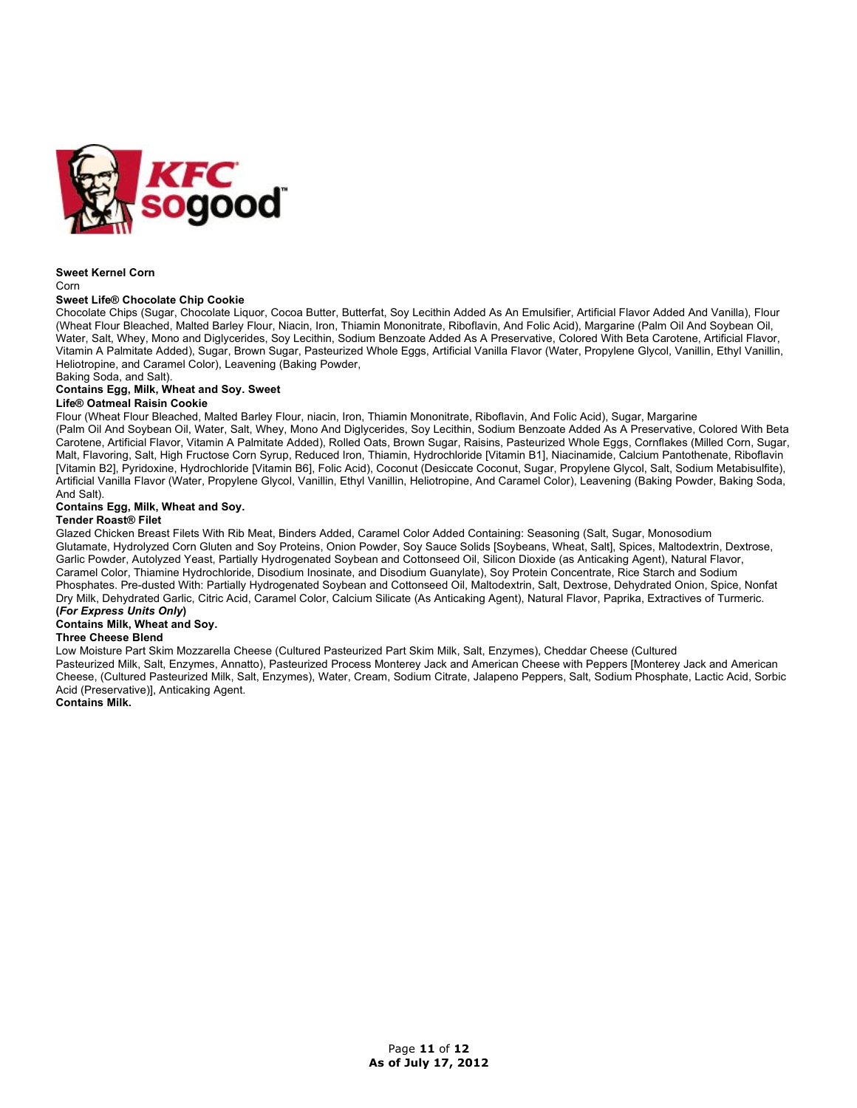

### **Sweet Kernel Corn**

Corn

#### **Sweet Life® Chocolate Chip Cookie**

Chocolate Chips (Sugar, Chocolate Liquor, Cocoa Butter, Butterfat, Soy Lecithin Added As An Emulsifier, Artificial Flavor Added And Vanilla), Flour (Wheat Flour Bleached, Malted Barley Flour, Niacin, Iron, Thiamin Mononitrate, Riboflavin, And Folic Acid), Margarine (Palm Oil And Soybean Oil, Water, Salt, Whey, Mono and Diglycerides, Soy Lecithin, Sodium Benzoate Added As A Preservative, Colored With Beta Carotene, Artificial Flavor, Vitamin A Palmitate Added), Sugar, Brown Sugar, Pasteurized Whole Eggs, Artificial Vanilla Flavor (Water, Propylene Glycol, Vanillin, Ethyl Vanillin, Heliotropine, and Caramel Color), Leavening (Baking Powder,

### Baking Soda, and Salt).

# **Contains Egg, Milk, Wheat and Soy. Sweet**

# **Life® Oatmeal Raisin Cookie**

Flour (Wheat Flour Bleached, Malted Barley Flour, niacin, Iron, Thiamin Mononitrate, Riboflavin, And Folic Acid), Sugar, Margarine (Palm Oil And Soybean Oil, Water, Salt, Whey, Mono And Diglycerides, Soy Lecithin, Sodium Benzoate Added As A Preservative, Colored With Beta Carotene, Artificial Flavor, Vitamin A Palmitate Added), Rolled Oats, Brown Sugar, Raisins, Pasteurized Whole Eggs, Cornflakes (Milled Corn, Sugar, Malt, Flavoring, Salt, High Fructose Corn Syrup, Reduced Iron, Thiamin, Hydrochloride [Vitamin B1], Niacinamide, Calcium Pantothenate, Riboflavin [Vitamin B2], Pyridoxine, Hydrochloride [Vitamin B6], Folic Acid), Coconut (Desiccate Coconut, Sugar, Propylene Glycol, Salt, Sodium Metabisulfite), Artificial Vanilla Flavor (Water, Propylene Glycol, Vanillin, Ethyl Vanillin, Heliotropine, And Caramel Color), Leavening (Baking Powder, Baking Soda, And Salt).

#### **Contains Egg, Milk, Wheat and Soy. Tender Roast® Filet**

Glazed Chicken Breast Filets With Rib Meat, Binders Added, Caramel Color Added Containing: Seasoning (Salt, Sugar, Monosodium Glutamate, Hydrolyzed Corn Gluten and Soy Proteins, Onion Powder, Soy Sauce Solids [Soybeans, Wheat, Salt], Spices, Maltodextrin, Dextrose, Garlic Powder, Autolyzed Yeast, Partially Hydrogenated Soybean and Cottonseed Oil, Silicon Dioxide (as Anticaking Agent), Natural Flavor, Caramel Color, Thiamine Hydrochloride, Disodium Inosinate, and Disodium Guanylate), Soy Protein Concentrate, Rice Starch and Sodium Phosphates. Pre-dusted With: Partially Hydrogenated Soybean and Cottonseed Oil, Maltodextrin, Salt, Dextrose, Dehydrated Onion, Spice, Nonfat Dry Milk, Dehydrated Garlic, Citric Acid, Caramel Color, Calcium Silicate (As Anticaking Agent), Natural Flavor, Paprika, Extractives of Turmeric. **(***For Express Units Only***)**

# **Contains Milk, Wheat and Soy.**

## **Three Cheese Blend**

Low Moisture Part Skim Mozzarella Cheese (Cultured Pasteurized Part Skim Milk, Salt, Enzymes), Cheddar Cheese (Cultured Pasteurized Milk, Salt, Enzymes, Annatto), Pasteurized Process Monterey Jack and American Cheese with Peppers [Monterey Jack and American Cheese, (Cultured Pasteurized Milk, Salt, Enzymes), Water, Cream, Sodium Citrate, Jalapeno Peppers, Salt, Sodium Phosphate, Lactic Acid, Sorbic Acid (Preservative)], Anticaking Agent.

### **Contains Milk.**